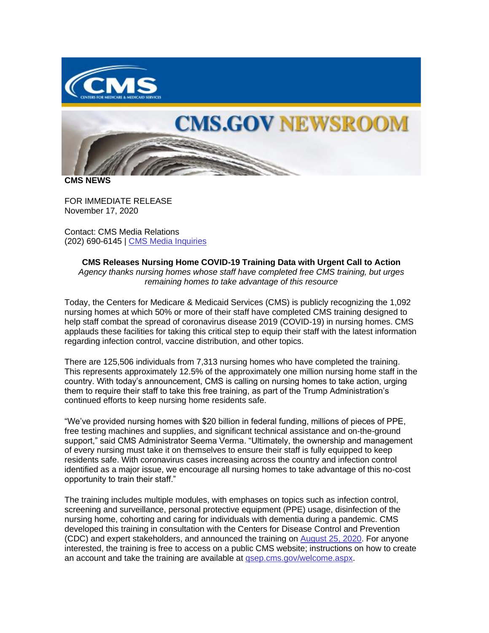



**CMS NEWS**

FOR IMMEDIATE RELEASE November 17, 2020

Contact: CMS Media Relations (202) 690-6145 | [CMS Media Inquiries](https://lnks.gd/l/eyJhbGciOiJIUzI1NiJ9.eyJidWxsZXRpbl9saW5rX2lkIjoxMDAsInVyaSI6ImJwMjpjbGljayIsImJ1bGxldGluX2lkIjoiMjAyMDExMTcuMzA2NDY1OTEiLCJ1cmwiOiJodHRwOi8vZ28uY21zLmdvdi9tZWRpYSJ9.WR7S48fw8bktfO4zGTzfb_Fx9shZE-0CS8-GVNvLO_w/s/1086872215/br/89948033250-l)

**CMS Releases Nursing Home COVID-19 Training Data with Urgent Call to Action** *Agency thanks nursing homes whose staff have completed free CMS training, but urges remaining homes to take advantage of this resource*

Today, the Centers for Medicare & Medicaid Services (CMS) is publicly recognizing the 1,092 nursing homes at which 50% or more of their staff have completed CMS training designed to help staff combat the spread of coronavirus disease 2019 (COVID-19) in nursing homes. CMS applauds these facilities for taking this critical step to equip their staff with the latest information regarding infection control, vaccine distribution, and other topics.

There are 125,506 individuals from 7,313 nursing homes who have completed the training. This represents approximately 12.5% of the approximately one million nursing home staff in the country. With today's announcement, CMS is calling on nursing homes to take action, urging them to require their staff to take this free training, as part of the Trump Administration's continued efforts to keep nursing home residents safe.

"We've provided nursing homes with \$20 billion in federal funding, millions of pieces of PPE, free testing machines and supplies, and significant technical assistance and on-the-ground support," said CMS Administrator Seema Verma. "Ultimately, the ownership and management of every nursing must take it on themselves to ensure their staff is fully equipped to keep residents safe. With coronavirus cases increasing across the country and infection control identified as a major issue, we encourage all nursing homes to take advantage of this no-cost opportunity to train their staff."

The training includes multiple modules, with emphases on topics such as infection control, screening and surveillance, personal protective equipment (PPE) usage, disinfection of the nursing home, cohorting and caring for individuals with dementia during a pandemic. CMS developed this training in consultation with the Centers for Disease Control and Prevention (CDC) and expert stakeholders, and announced the training on [August 25, 2020.](https://lnks.gd/l/eyJhbGciOiJIUzI1NiJ9.eyJidWxsZXRpbl9saW5rX2lkIjoxMDEsInVyaSI6ImJwMjpjbGljayIsImJ1bGxldGluX2lkIjoiMjAyMDExMTcuMzA2NDY1OTEiLCJ1cmwiOiJodHRwczovL3d3dy5jbXMuZ292L25ld3Nyb29tL3ByZXNzLXJlbGVhc2VzL3RydW1wLWFkbWluaXN0cmF0aW9uLWxhdW5jaGVzLW5hdGlvbmFsLXRyYWluaW5nLXByb2dyYW0tc3RyZW5ndGhlbi1udXJzaW5nLWhvbWUtaW5mZWN0aW9uLWNvbnRyb2wifQ.syTjV9IsjAienZnOzhiHVQ9rFz5je-ilQ9K8pOeuaac/s/1086872215/br/89948033250-l) For anyone interested, the training is free to access on a public CMS website; instructions on how to create an account and take the training are available at [qsep.cms.gov/welcome.aspx.](https://lnks.gd/l/eyJhbGciOiJIUzI1NiJ9.eyJidWxsZXRpbl9saW5rX2lkIjoxMDIsInVyaSI6ImJwMjpjbGljayIsImJ1bGxldGluX2lkIjoiMjAyMDExMTcuMzA2NDY1OTEiLCJ1cmwiOiJodHRwczovL3FzZXAuY21zLmdvdi93ZWxjb21lLmFzcHgifQ.l6OBp-LiOsvSlFw9n0_kmFhGp_RwzF7CD7hCpxLkRqU/s/1086872215/br/89948033250-l)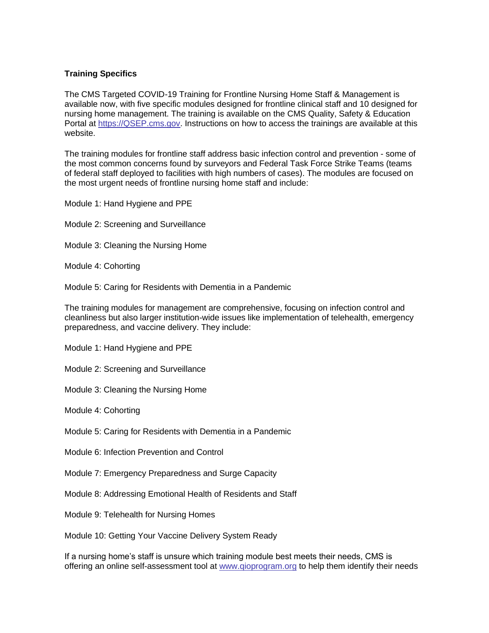## **Training Specifics**

The CMS Targeted COVID-19 Training for Frontline Nursing Home Staff & Management is available now, with five specific modules designed for frontline clinical staff and 10 designed for nursing home management. The training is available on the CMS Quality, Safety & Education Portal at [https://QSEP.cms.gov.](https://lnks.gd/l/eyJhbGciOiJIUzI1NiJ9.eyJidWxsZXRpbl9saW5rX2lkIjoxMDMsInVyaSI6ImJwMjpjbGljayIsImJ1bGxldGluX2lkIjoiMjAyMDExMTcuMzA2NDY1OTEiLCJ1cmwiOiJodHRwczovL1FTRVAuY21zLmdvdiJ9.UekcdVucFPGmJSR56IAnJ2Uxh80GWMvlLWAKhYycTz4/s/1086872215/br/89948033250-l) Instructions on how to access the trainings are available at this website.

The training modules for frontline staff address basic infection control and prevention - some of the most common concerns found by surveyors and Federal Task Force Strike Teams (teams of federal staff deployed to facilities with high numbers of cases). The modules are focused on the most urgent needs of frontline nursing home staff and include:

Module 1: Hand Hygiene and PPE

- Module 2: Screening and Surveillance
- Module 3: Cleaning the Nursing Home
- Module 4: Cohorting
- Module 5: Caring for Residents with Dementia in a Pandemic

The training modules for management are comprehensive, focusing on infection control and cleanliness but also larger institution-wide issues like implementation of telehealth, emergency preparedness, and vaccine delivery. They include:

Module 1: Hand Hygiene and PPE

Module 2: Screening and Surveillance

Module 3: Cleaning the Nursing Home

Module 4: Cohorting

Module 5: Caring for Residents with Dementia in a Pandemic

Module 6: Infection Prevention and Control

Module 7: Emergency Preparedness and Surge Capacity

Module 8: Addressing Emotional Health of Residents and Staff

Module 9: Telehealth for Nursing Homes

Module 10: Getting Your Vaccine Delivery System Ready

If a nursing home's staff is unsure which training module best meets their needs, CMS is offering an online self-assessment tool at [www.qioprogram.org](https://lnks.gd/l/eyJhbGciOiJIUzI1NiJ9.eyJidWxsZXRpbl9saW5rX2lkIjoxMDQsInVyaSI6ImJwMjpjbGljayIsImJ1bGxldGluX2lkIjoiMjAyMDExMTcuMzA2NDY1OTEiLCJ1cmwiOiJodHRwOi8vd3d3LnFpb3Byb2dyYW0ub3JnIn0.hrVSoG1QFXmAGKZjaqZ-5Aq9Fz5FhqtJ7ZUgDeKValY/s/1086872215/br/89948033250-l) to help them identify their needs